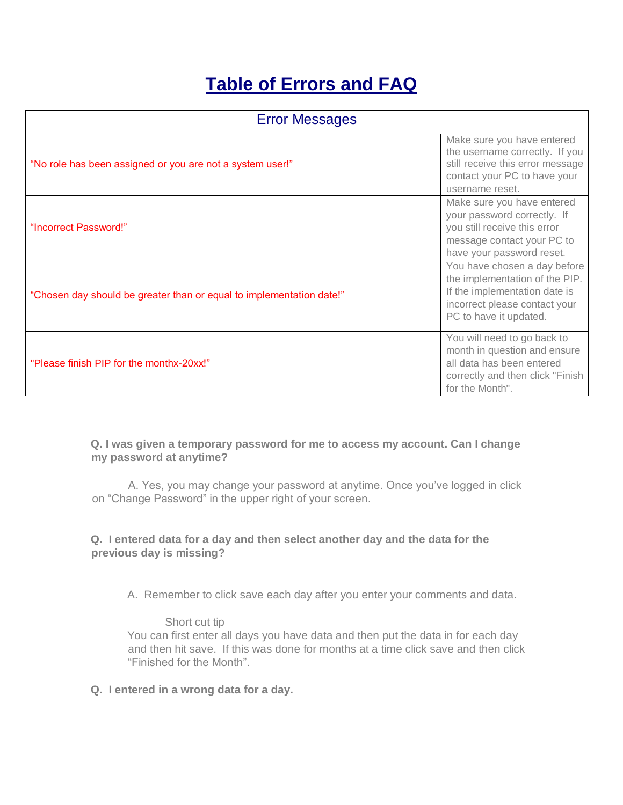# **Table of Errors and FAQ**

| <b>Error Messages</b>                                                |                                                                                                                                                            |
|----------------------------------------------------------------------|------------------------------------------------------------------------------------------------------------------------------------------------------------|
| "No role has been assigned or you are not a system user!"            | Make sure you have entered<br>the username correctly. If you<br>still receive this error message<br>contact your PC to have your<br>username reset.        |
| "Incorrect Password!"                                                | Make sure you have entered<br>your password correctly. If<br>you still receive this error<br>message contact your PC to<br>have your password reset.       |
| "Chosen day should be greater than or equal to implementation date!" | You have chosen a day before<br>the implementation of the PIP.<br>If the implementation date is<br>incorrect please contact your<br>PC to have it updated. |
| "Please finish PIP for the monthx-20xx!"                             | You will need to go back to<br>month in question and ensure<br>all data has been entered<br>correctly and then click "Finish<br>for the Month".            |

**Q. I was given a temporary password for me to access my account. Can I change my password at anytime?** 

A. Yes, you may change your password at anytime. Once you've logged in click on "Change Password" in the upper right of your screen.

## **Q. I entered data for a day and then select another day and the data for the previous day is missing?**

A. Remember to click save each day after you enter your comments and data.

Short cut tip You can first enter all days you have data and then put the data in for each day and then hit save. If this was done for months at a time click save and then click "Finished for the Month".

**Q. I entered in a wrong data for a day.**